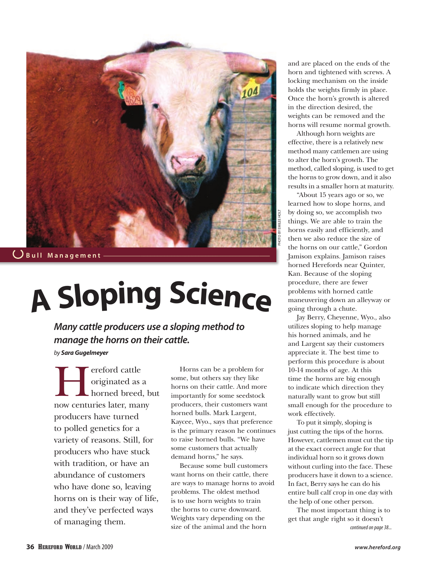

 $\bigcup$  Bull Management

# **A Sloping Scienc<sup>e</sup>**

*Many cattle producers use a sloping method to manage the horns on their cattle.* 

*by Sara Gugelmeyer*

ereford cattle<br>originated as a<br>horned breed originated as a horned breed, but now centuries later, many producers have turned to polled genetics for a variety of reasons. Still, for producers who have stuck with tradition, or have an abundance of customers who have done so, leaving horns on is their way of life, and they've perfected ways of managing them.

Horns can be a problem for some, but others say they like horns on their cattle. And more importantly for some seedstock producers, their customers want horned bulls. Mark Largent, Kaycee, Wyo., says that preference is the primary reason he continues to raise horned bulls. "We have some customers that actually demand horns," he says.

Because some bull customers want horns on their cattle, there are ways to manage horns to avoid problems. The oldest method is to use horn weights to train the horns to curve downward. Weights vary depending on the size of the animal and the horn

and are placed on the ends of the horn and tightened with screws. A locking mechanism on the inside holds the weights firmly in place. Once the horn's growth is altered in the direction desired, the weights can be removed and the horns will resume normal growth.

Although horn weights are effective, there is a relatively new method many cattlemen are using to alter the horn's growth. The method, called sloping, is used to get the horns to grow down, and it also results in a smaller horn at maturity.

"About 15 years ago or so, we learned how to slope horns, and by doing so, we accomplish two things. We are able to train the horns easily and efficiently, and then we also reduce the size of the horns on our cattle," Gordon Jamison explains. Jamison raises horned Herefords near Quinter, Kan. Because of the sloping procedure, there are fewer problems with horned cattle maneuvering down an alleyway or going through a chute.

Photo by Emilee Holt

Jay Berry, Cheyenne, Wyo., also utilizes sloping to help manage his horned animals, and he and Largent say their customers appreciate it. The best time to perform this procedure is about 10-14 months of age. At this time the horns are big enough to indicate which direction they naturally want to grow but still small enough for the procedure to work effectively.

To put it simply, sloping is just cutting the tips of the horns. However, cattlemen must cut the tip at the exact correct angle for that individual horn so it grows down without curling into the face. These producers have it down to a science. In fact, Berry says he can do his entire bull calf crop in one day with the help of one other person.

The most important thing is to get that angle right so it doesn't *continued on page 38...*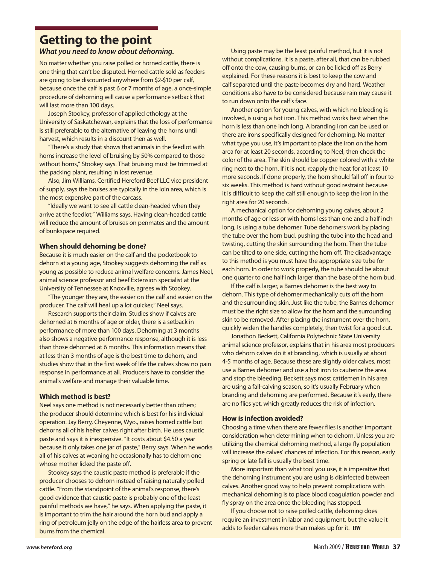## **Getting to the point**

### *What you need to know about dehorning.*

No matter whether you raise polled or horned cattle, there is one thing that can't be disputed. Horned cattle sold as feeders are going to be discounted anywhere from \$2-\$10 per calf, because once the calf is past 6 or 7 months of age, a once-simple procedure of dehorning will cause a performance setback that will last more than 100 days.

Joseph Stookey, professor of applied ethology at the University of Saskatchewan, explains that the loss of performance is still preferable to the alternative of leaving the horns until harvest, which results in a discount then as well.

"There's a study that shows that animals in the feedlot with horns increase the level of bruising by 50% compared to those without horns," Stookey says. That bruising must be trimmed at the packing plant, resulting in lost revenue.

Also, Jim Williams, Certified Hereford Beef LLC vice president of supply, says the bruises are typically in the loin area, which is the most expensive part of the carcass.

"Ideally we want to see all cattle clean-headed when they arrive at the feedlot," Williams says. Having clean-headed cattle will reduce the amount of bruises on penmates and the amount of bunkspace required.

#### **When should dehorning be done?**

Because it is much easier on the calf and the pocketbook to dehorn at a young age, Stookey suggests dehorning the calf as young as possible to reduce animal welfare concerns. James Neel, animal science professor and beef Extension specialist at the University of Tennessee at Knoxville, agrees with Stookey.

"The younger they are, the easier on the calf and easier on the producer. The calf will heal up a lot quicker," Neel says.

Research supports their claim. Studies show if calves are dehorned at 6 months of age or older, there is a setback in performance of more than 100 days. Dehorning at 3 months also shows a negative performance response, although it is less than those dehorned at 6 months. This information means that at less than 3 months of age is the best time to dehorn, and studies show that in the first week of life the calves show no pain response in performance at all. Producers have to consider the animal's welfare and manage their valuable time.

#### **Which method is best?**

Neel says one method is not necessarily better than others; the producer should determine which is best for his individual operation. Jay Berry, Cheyenne, Wyo., raises horned cattle but dehorns all of his heifer calves right after birth. He uses caustic paste and says it is inexpensive. "It costs about \$4.50 a year because it only takes one jar of paste," Berry says. When he works all of his calves at weaning he occasionally has to dehorn one whose mother licked the paste off.

Stookey says the caustic paste method is preferable if the producer chooses to dehorn instead of raising naturally polled cattle. "From the standpoint of the animal's response, there's good evidence that caustic paste is probably one of the least painful methods we have," he says. When applying the paste, it is important to trim the hair around the horn bud and apply a ring of petroleum jelly on the edge of the hairless area to prevent burns from the chemical.

Using paste may be the least painful method, but it is not without complications. It is a paste, after all, that can be rubbed off onto the cow, causing burns, or can be licked off as Berry explained. For these reasons it is best to keep the cow and calf separated until the paste becomes dry and hard. Weather conditions also have to be considered because rain may cause it to run down onto the calf's face.

Another option for young calves, with which no bleeding is involved, is using a hot iron. This method works best when the horn is less than one inch long. A branding iron can be used or there are irons specifically designed for dehorning. No matter what type you use, it's important to place the iron on the horn area for at least 20 seconds, according to Neel, then check the color of the area. The skin should be copper colored with a white ring next to the horn. If it is not, reapply the heat for at least 10 more seconds. If done properly, the horn should fall off in four to six weeks. This method is hard without good restraint because it is difficult to keep the calf still enough to keep the iron in the right area for 20 seconds.

A mechanical option for dehorning young calves, about 2 months of age or less or with horns less than one and a half inch long, is using a tube dehorner. Tube dehorners work by placing the tube over the horn bud, pushing the tube into the head and twisting, cutting the skin surrounding the horn. Then the tube can be tilted to one side, cutting the horn off. The disadvantage to this method is you must have the appropriate size tube for each horn. In order to work properly, the tube should be about one quarter to one half inch larger than the base of the horn bud.

If the calf is larger, a Barnes dehorner is the best way to dehorn. This type of dehorner mechanically cuts off the horn and the surrounding skin. Just like the tube, the Barnes dehorner must be the right size to allow for the horn and the surrounding skin to be removed. After placing the instrument over the horn, quickly widen the handles completely, then twist for a good cut.

Jonathon Beckett, California Polytechnic State University animal science professor, explains that in his area most producers who dehorn calves do it at branding, which is usually at about 4-5 months of age. Because these are slightly older calves, most use a Barnes dehorner and use a hot iron to cauterize the area and stop the bleeding. Beckett says most cattlemen in his area are using a fall-calving season, so it's usually February when branding and dehorning are performed. Because it's early, there are no flies yet, which greatly reduces the risk of infection.

#### **How is infection avoided?**

Choosing a time when there are fewer flies is another important consideration when determining when to dehorn. Unless you are utilizing the chemical dehorning method, a large fly population will increase the calves' chances of infection. For this reason, early spring or late fall is usually the best time.

More important than what tool you use, it is imperative that the dehorning instrument you are using is disinfected between calves. Another good way to help prevent complications with mechanical dehorning is to place blood coagulation powder and fly spray on the area once the bleeding has stopped.

If you choose not to raise polled cattle, dehorning does require an investment in labor and equipment, but the value it adds to feeder calves more than makes up for it. **HW**